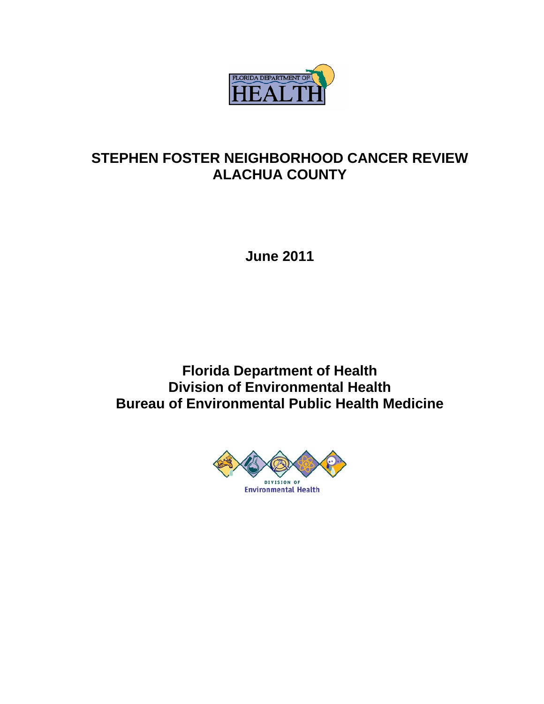

## **STEPHEN FOSTER NEIGHBORHOOD CANCER REVIEW ALACHUA COUNTY**

**June 2011** 

**Florida Department of Health Division of Environmental Health Bureau of Environmental Public Health Medicine** 

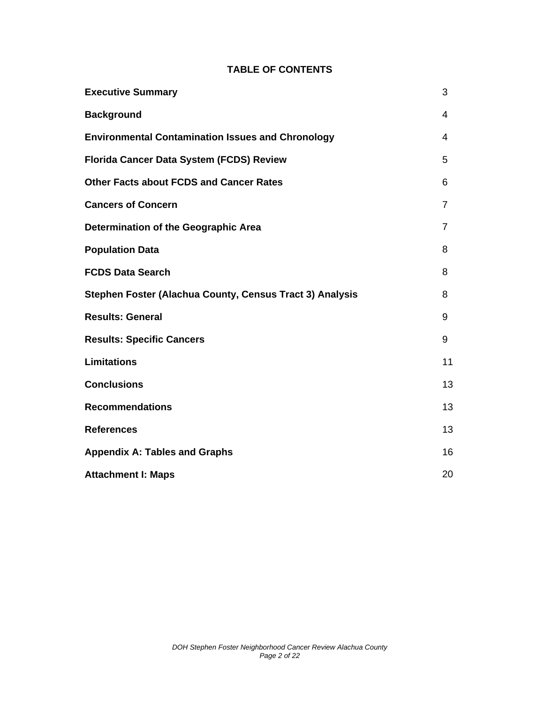### **TABLE OF CONTENTS**

| <b>Executive Summary</b>                                 | 3  |
|----------------------------------------------------------|----|
| <b>Background</b>                                        | 4  |
| <b>Environmental Contamination Issues and Chronology</b> | 4  |
| Florida Cancer Data System (FCDS) Review                 | 5  |
| <b>Other Facts about FCDS and Cancer Rates</b>           | 6  |
| <b>Cancers of Concern</b>                                | 7  |
| Determination of the Geographic Area                     | 7  |
| <b>Population Data</b>                                   | 8  |
| <b>FCDS Data Search</b>                                  | 8  |
| Stephen Foster (Alachua County, Census Tract 3) Analysis | 8  |
| <b>Results: General</b>                                  | 9  |
| <b>Results: Specific Cancers</b>                         | 9  |
| <b>Limitations</b>                                       | 11 |
| <b>Conclusions</b>                                       | 13 |
| <b>Recommendations</b>                                   | 13 |
| <b>References</b>                                        | 13 |
| <b>Appendix A: Tables and Graphs</b>                     | 16 |
| <b>Attachment I: Maps</b>                                | 20 |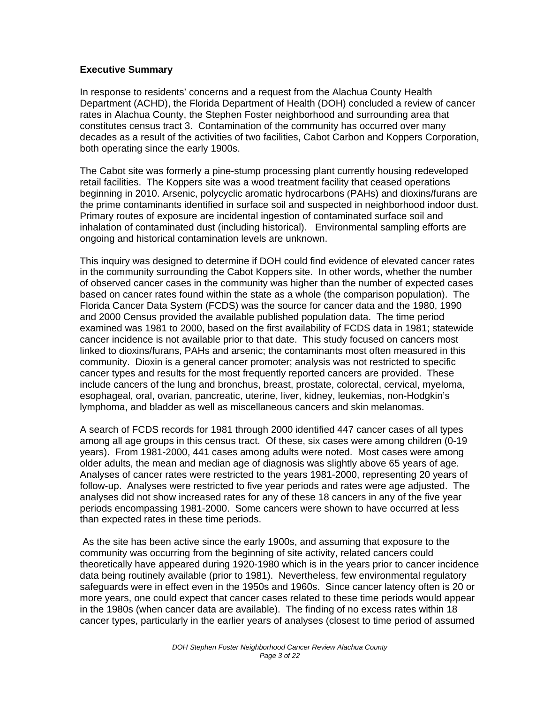#### **Executive Summary**

In response to residents' concerns and a request from the Alachua County Health Department (ACHD), the Florida Department of Health (DOH) concluded a review of cancer rates in Alachua County, the Stephen Foster neighborhood and surrounding area that constitutes census tract 3. Contamination of the community has occurred over many decades as a result of the activities of two facilities, Cabot Carbon and Koppers Corporation, both operating since the early 1900s.

The Cabot site was formerly a pine-stump processing plant currently housing redeveloped retail facilities. The Koppers site was a wood treatment facility that ceased operations beginning in 2010. Arsenic, polycyclic aromatic hydrocarbons (PAHs) and dioxins/furans are the prime contaminants identified in surface soil and suspected in neighborhood indoor dust. Primary routes of exposure are incidental ingestion of contaminated surface soil and inhalation of contaminated dust (including historical). Environmental sampling efforts are ongoing and historical contamination levels are unknown.

This inquiry was designed to determine if DOH could find evidence of elevated cancer rates in the community surrounding the Cabot Koppers site. In other words, whether the number of observed cancer cases in the community was higher than the number of expected cases based on cancer rates found within the state as a whole (the comparison population). The Florida Cancer Data System (FCDS) was the source for cancer data and the 1980, 1990 and 2000 Census provided the available published population data. The time period examined was 1981 to 2000, based on the first availability of FCDS data in 1981; statewide cancer incidence is not available prior to that date. This study focused on cancers most linked to dioxins/furans, PAHs and arsenic; the contaminants most often measured in this community. Dioxin is a general cancer promoter; analysis was not restricted to specific cancer types and results for the most frequently reported cancers are provided. These include cancers of the lung and bronchus, breast, prostate, colorectal, cervical, myeloma, esophageal, oral, ovarian, pancreatic, uterine, liver, kidney, leukemias, non-Hodgkin's lymphoma, and bladder as well as miscellaneous cancers and skin melanomas.

A search of FCDS records for 1981 through 2000 identified 447 cancer cases of all types among all age groups in this census tract. Of these, six cases were among children (0-19 years). From 1981-2000, 441 cases among adults were noted. Most cases were among older adults, the mean and median age of diagnosis was slightly above 65 years of age. Analyses of cancer rates were restricted to the years 1981-2000, representing 20 years of follow-up. Analyses were restricted to five year periods and rates were age adjusted. The analyses did not show increased rates for any of these 18 cancers in any of the five year periods encompassing 1981-2000. Some cancers were shown to have occurred at less than expected rates in these time periods.

 As the site has been active since the early 1900s, and assuming that exposure to the community was occurring from the beginning of site activity, related cancers could theoretically have appeared during 1920-1980 which is in the years prior to cancer incidence data being routinely available (prior to 1981). Nevertheless, few environmental regulatory safeguards were in effect even in the 1950s and 1960s. Since cancer latency often is 20 or more years, one could expect that cancer cases related to these time periods would appear in the 1980s (when cancer data are available). The finding of no excess rates within 18 cancer types, particularly in the earlier years of analyses (closest to time period of assumed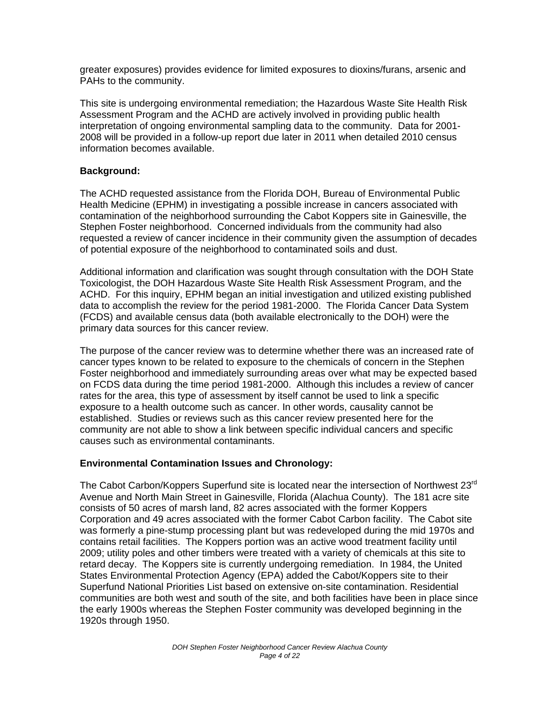greater exposures) provides evidence for limited exposures to dioxins/furans, arsenic and PAHs to the community.

This site is undergoing environmental remediation; the Hazardous Waste Site Health Risk Assessment Program and the ACHD are actively involved in providing public health interpretation of ongoing environmental sampling data to the community. Data for 2001- 2008 will be provided in a follow-up report due later in 2011 when detailed 2010 census information becomes available.

#### **Background:**

The ACHD requested assistance from the Florida DOH, Bureau of Environmental Public Health Medicine (EPHM) in investigating a possible increase in cancers associated with contamination of the neighborhood surrounding the Cabot Koppers site in Gainesville, the Stephen Foster neighborhood. Concerned individuals from the community had also requested a review of cancer incidence in their community given the assumption of decades of potential exposure of the neighborhood to contaminated soils and dust.

Additional information and clarification was sought through consultation with the DOH State Toxicologist, the DOH Hazardous Waste Site Health Risk Assessment Program, and the ACHD. For this inquiry, EPHM began an initial investigation and utilized existing published data to accomplish the review for the period 1981-2000. The Florida Cancer Data System (FCDS) and available census data (both available electronically to the DOH) were the primary data sources for this cancer review.

The purpose of the cancer review was to determine whether there was an increased rate of cancer types known to be related to exposure to the chemicals of concern in the Stephen Foster neighborhood and immediately surrounding areas over what may be expected based on FCDS data during the time period 1981-2000. Although this includes a review of cancer rates for the area, this type of assessment by itself cannot be used to link a specific exposure to a health outcome such as cancer. In other words, causality cannot be established. Studies or reviews such as this cancer review presented here for the community are not able to show a link between specific individual cancers and specific causes such as environmental contaminants.

#### **Environmental Contamination Issues and Chronology:**

The Cabot Carbon/Koppers Superfund site is located near the intersection of Northwest 23<sup>rd</sup> Avenue and North Main Street in Gainesville, Florida (Alachua County). The 181 acre site consists of 50 acres of marsh land, 82 acres associated with the former Koppers Corporation and 49 acres associated with the former Cabot Carbon facility. The Cabot site was formerly a pine-stump processing plant but was redeveloped during the mid 1970s and contains retail facilities. The Koppers portion was an active wood treatment facility until 2009; utility poles and other timbers were treated with a variety of chemicals at this site to retard decay. The Koppers site is currently undergoing remediation. In 1984, the United States Environmental Protection Agency (EPA) added the Cabot/Koppers site to their Superfund National Priorities List based on extensive on-site contamination. Residential communities are both west and south of the site, and both facilities have been in place since the early 1900s whereas the Stephen Foster community was developed beginning in the 1920s through 1950.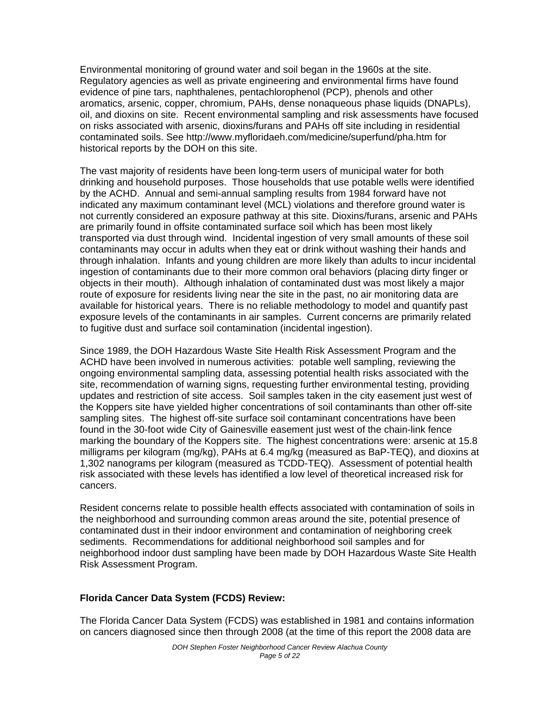Environmental monitoring of ground water and soil began in the 1960s at the site. Regulatory agencies as well as private engineering and environmental firms have found evidence of pine tars, naphthalenes, pentachlorophenol (PCP), phenols and other aromatics, arsenic, copper, chromium, PAHs, dense nonaqueous phase liquids (DNAPLs), oil, and dioxins on site. Recent environmental sampling and risk assessments have focused on risks associated with arsenic, dioxins/furans and PAHs off site including in residential contaminated soils. See http://www.myfloridaeh.com/medicine/superfund/pha.htm for historical reports by the DOH on this site.

The vast majority of residents have been long-term users of municipal water for both drinking and household purposes. Those households that use potable wells were identified by the ACHD. Annual and semi-annual sampling results from 1984 forward have not indicated any maximum contaminant level (MCL) violations and therefore ground water is not currently considered an exposure pathway at this site. Dioxins/furans, arsenic and PAHs are primarily found in offsite contaminated surface soil which has been most likely transported via dust through wind. Incidental ingestion of very small amounts of these soil contaminants may occur in adults when they eat or drink without washing their hands and through inhalation. Infants and young children are more likely than adults to incur incidental ingestion of contaminants due to their more common oral behaviors (placing dirty finger or objects in their mouth). Although inhalation of contaminated dust was most likely a major route of exposure for residents living near the site in the past, no air monitoring data are available for historical years. There is no reliable methodology to model and quantify past exposure levels of the contaminants in air samples. Current concerns are primarily related to fugitive dust and surface soil contamination (incidental ingestion).

Since 1989, the DOH Hazardous Waste Site Health Risk Assessment Program and the ACHD have been involved in numerous activities: potable well sampling, reviewing the ongoing environmental sampling data, assessing potential health risks associated with the site, recommendation of warning signs, requesting further environmental testing, providing updates and restriction of site access. Soil samples taken in the city easement just west of the Koppers site have yielded higher concentrations of soil contaminants than other off-site sampling sites. The highest off-site surface soil contaminant concentrations have been found in the 30-foot wide City of Gainesville easement just west of the chain-link fence marking the boundary of the Koppers site. The highest concentrations were: arsenic at 15.8 milligrams per kilogram (mg/kg), PAHs at 6.4 mg/kg (measured as BaP-TEQ), and dioxins at 1,302 nanograms per kilogram (measured as TCDD-TEQ). Assessment of potential health risk associated with these levels has identified a low level of theoretical increased risk for cancers.

Resident concerns relate to possible health effects associated with contamination of soils in the neighborhood and surrounding common areas around the site, potential presence of contaminated dust in their indoor environment and contamination of neighboring creek sediments. Recommendations for additional neighborhood soil samples and for neighborhood indoor dust sampling have been made by DOH Hazardous Waste Site Health Risk Assessment Program.

#### **Florida Cancer Data System (FCDS) Review:**

The Florida Cancer Data System (FCDS) was established in 1981 and contains information on cancers diagnosed since then through 2008 (at the time of this report the 2008 data are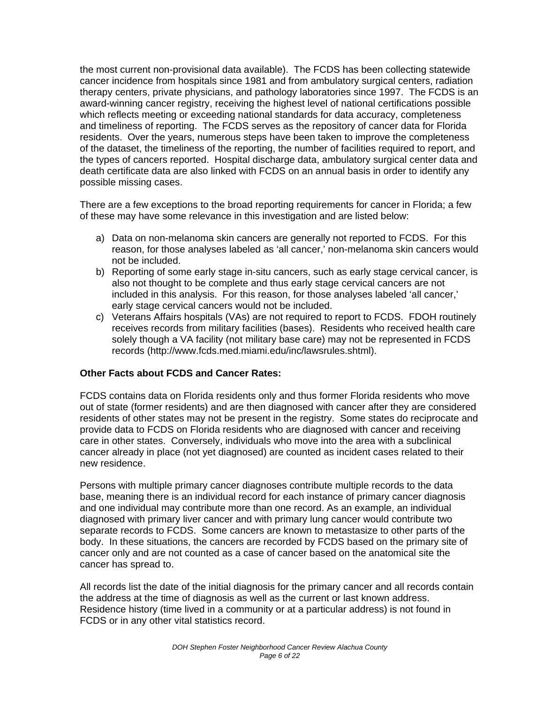the most current non-provisional data available). The FCDS has been collecting statewide cancer incidence from hospitals since 1981 and from ambulatory surgical centers, radiation therapy centers, private physicians, and pathology laboratories since 1997. The FCDS is an award-winning cancer registry, receiving the highest level of national certifications possible which reflects meeting or exceeding national standards for data accuracy, completeness and timeliness of reporting. The FCDS serves as the repository of cancer data for Florida residents. Over the years, numerous steps have been taken to improve the completeness of the dataset, the timeliness of the reporting, the number of facilities required to report, and the types of cancers reported. Hospital discharge data, ambulatory surgical center data and death certificate data are also linked with FCDS on an annual basis in order to identify any possible missing cases.

There are a few exceptions to the broad reporting requirements for cancer in Florida; a few of these may have some relevance in this investigation and are listed below:

- a) Data on non-melanoma skin cancers are generally not reported to FCDS. For this reason, for those analyses labeled as 'all cancer,' non-melanoma skin cancers would not be included.
- b) Reporting of some early stage in-situ cancers, such as early stage cervical cancer, is also not thought to be complete and thus early stage cervical cancers are not included in this analysis. For this reason, for those analyses labeled 'all cancer,' early stage cervical cancers would not be included.
- c) Veterans Affairs hospitals (VAs) are not required to report to FCDS. FDOH routinely receives records from military facilities (bases). Residents who received health care solely though a VA facility (not military base care) may not be represented in FCDS records (http://www.fcds.med.miami.edu/inc/lawsrules.shtml).

#### **Other Facts about FCDS and Cancer Rates:**

FCDS contains data on Florida residents only and thus former Florida residents who move out of state (former residents) and are then diagnosed with cancer after they are considered residents of other states may not be present in the registry. Some states do reciprocate and provide data to FCDS on Florida residents who are diagnosed with cancer and receiving care in other states. Conversely, individuals who move into the area with a subclinical cancer already in place (not yet diagnosed) are counted as incident cases related to their new residence.

Persons with multiple primary cancer diagnoses contribute multiple records to the data base, meaning there is an individual record for each instance of primary cancer diagnosis and one individual may contribute more than one record. As an example, an individual diagnosed with primary liver cancer and with primary lung cancer would contribute two separate records to FCDS. Some cancers are known to metastasize to other parts of the body. In these situations, the cancers are recorded by FCDS based on the primary site of cancer only and are not counted as a case of cancer based on the anatomical site the cancer has spread to.

All records list the date of the initial diagnosis for the primary cancer and all records contain the address at the time of diagnosis as well as the current or last known address. Residence history (time lived in a community or at a particular address) is not found in FCDS or in any other vital statistics record.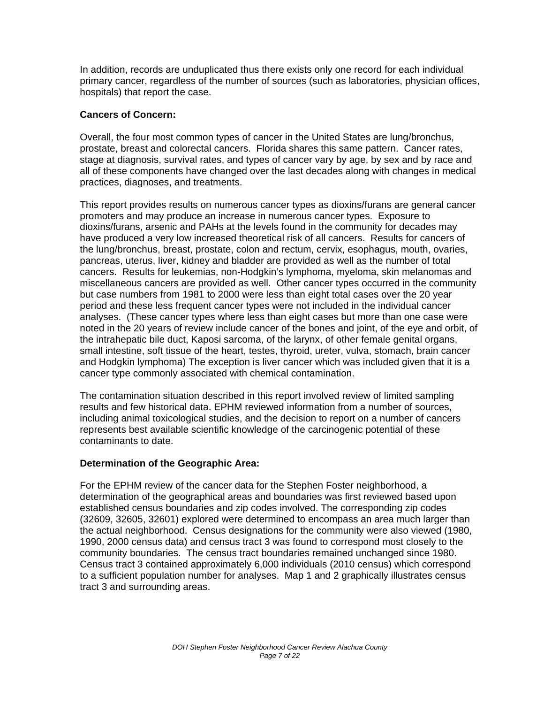In addition, records are unduplicated thus there exists only one record for each individual primary cancer, regardless of the number of sources (such as laboratories, physician offices, hospitals) that report the case.

#### **Cancers of Concern:**

Overall, the four most common types of cancer in the United States are lung/bronchus, prostate, breast and colorectal cancers. Florida shares this same pattern. Cancer rates, stage at diagnosis, survival rates, and types of cancer vary by age, by sex and by race and all of these components have changed over the last decades along with changes in medical practices, diagnoses, and treatments.

This report provides results on numerous cancer types as dioxins/furans are general cancer promoters and may produce an increase in numerous cancer types. Exposure to dioxins/furans, arsenic and PAHs at the levels found in the community for decades may have produced a very low increased theoretical risk of all cancers. Results for cancers of the lung/bronchus, breast, prostate, colon and rectum, cervix, esophagus, mouth, ovaries, pancreas, uterus, liver, kidney and bladder are provided as well as the number of total cancers. Results for leukemias, non-Hodgkin's lymphoma, myeloma, skin melanomas and miscellaneous cancers are provided as well. Other cancer types occurred in the community but case numbers from 1981 to 2000 were less than eight total cases over the 20 year period and these less frequent cancer types were not included in the individual cancer analyses. (These cancer types where less than eight cases but more than one case were noted in the 20 years of review include cancer of the bones and joint, of the eye and orbit, of the intrahepatic bile duct, Kaposi sarcoma, of the larynx, of other female genital organs, small intestine, soft tissue of the heart, testes, thyroid, ureter, vulva, stomach, brain cancer and Hodgkin lymphoma) The exception is liver cancer which was included given that it is a cancer type commonly associated with chemical contamination.

The contamination situation described in this report involved review of limited sampling results and few historical data. EPHM reviewed information from a number of sources, including animal toxicological studies, and the decision to report on a number of cancers represents best available scientific knowledge of the carcinogenic potential of these contaminants to date.

#### **Determination of the Geographic Area:**

For the EPHM review of the cancer data for the Stephen Foster neighborhood, a determination of the geographical areas and boundaries was first reviewed based upon established census boundaries and zip codes involved. The corresponding zip codes (32609, 32605, 32601) explored were determined to encompass an area much larger than the actual neighborhood. Census designations for the community were also viewed (1980, 1990, 2000 census data) and census tract 3 was found to correspond most closely to the community boundaries. The census tract boundaries remained unchanged since 1980. Census tract 3 contained approximately 6,000 individuals (2010 census) which correspond to a sufficient population number for analyses. Map 1 and 2 graphically illustrates census tract 3 and surrounding areas.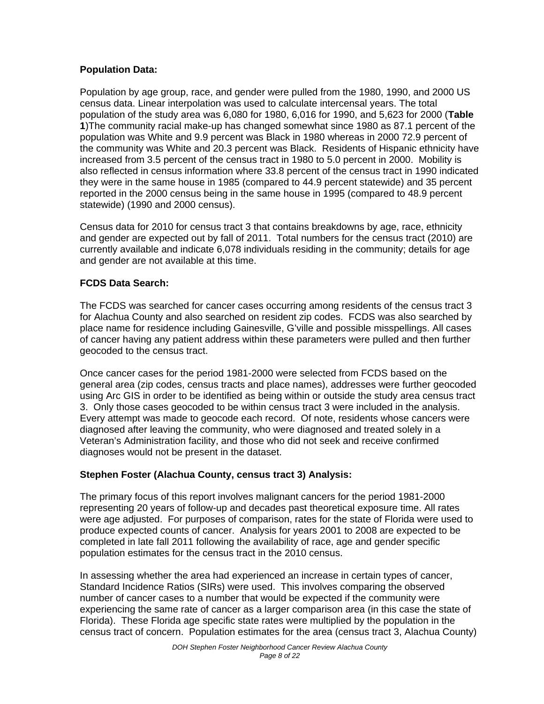#### **Population Data:**

Population by age group, race, and gender were pulled from the 1980, 1990, and 2000 US census data. Linear interpolation was used to calculate intercensal years. The total population of the study area was 6,080 for 1980, 6,016 for 1990, and 5,623 for 2000 (**Table 1**)The community racial make-up has changed somewhat since 1980 as 87.1 percent of the population was White and 9.9 percent was Black in 1980 whereas in 2000 72.9 percent of the community was White and 20.3 percent was Black. Residents of Hispanic ethnicity have increased from 3.5 percent of the census tract in 1980 to 5.0 percent in 2000. Mobility is also reflected in census information where 33.8 percent of the census tract in 1990 indicated they were in the same house in 1985 (compared to 44.9 percent statewide) and 35 percent reported in the 2000 census being in the same house in 1995 (compared to 48.9 percent statewide) (1990 and 2000 census).

Census data for 2010 for census tract 3 that contains breakdowns by age, race, ethnicity and gender are expected out by fall of 2011. Total numbers for the census tract (2010) are currently available and indicate 6,078 individuals residing in the community; details for age and gender are not available at this time.

#### **FCDS Data Search:**

The FCDS was searched for cancer cases occurring among residents of the census tract 3 for Alachua County and also searched on resident zip codes. FCDS was also searched by place name for residence including Gainesville, G'ville and possible misspellings. All cases of cancer having any patient address within these parameters were pulled and then further geocoded to the census tract.

Once cancer cases for the period 1981-2000 were selected from FCDS based on the general area (zip codes, census tracts and place names), addresses were further geocoded using Arc GIS in order to be identified as being within or outside the study area census tract 3. Only those cases geocoded to be within census tract 3 were included in the analysis. Every attempt was made to geocode each record. Of note, residents whose cancers were diagnosed after leaving the community, who were diagnosed and treated solely in a Veteran's Administration facility, and those who did not seek and receive confirmed diagnoses would not be present in the dataset.

#### **Stephen Foster (Alachua County, census tract 3) Analysis:**

The primary focus of this report involves malignant cancers for the period 1981-2000 representing 20 years of follow-up and decades past theoretical exposure time. All rates were age adjusted. For purposes of comparison, rates for the state of Florida were used to produce expected counts of cancer. Analysis for years 2001 to 2008 are expected to be completed in late fall 2011 following the availability of race, age and gender specific population estimates for the census tract in the 2010 census.

In assessing whether the area had experienced an increase in certain types of cancer, Standard Incidence Ratios (SIRs) were used. This involves comparing the observed number of cancer cases to a number that would be expected if the community were experiencing the same rate of cancer as a larger comparison area (in this case the state of Florida). These Florida age specific state rates were multiplied by the population in the census tract of concern. Population estimates for the area (census tract 3, Alachua County)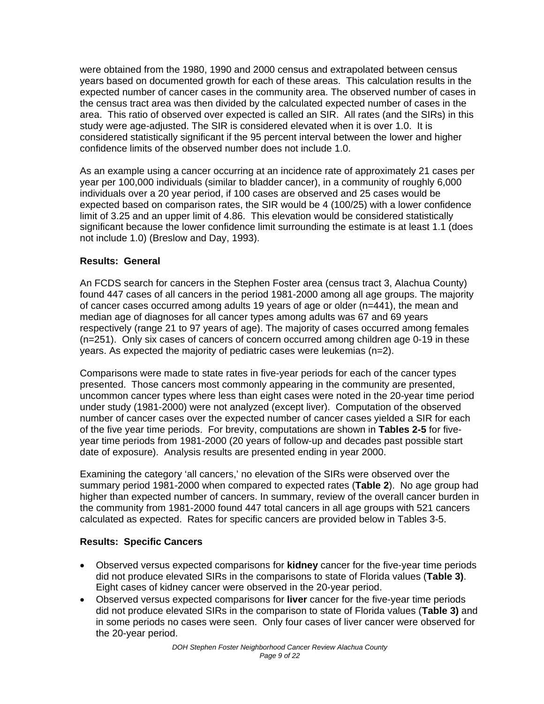were obtained from the 1980, 1990 and 2000 census and extrapolated between census years based on documented growth for each of these areas. This calculation results in the expected number of cancer cases in the community area. The observed number of cases in the census tract area was then divided by the calculated expected number of cases in the area. This ratio of observed over expected is called an SIR. All rates (and the SIRs) in this study were age-adjusted. The SIR is considered elevated when it is over 1.0. It is considered statistically significant if the 95 percent interval between the lower and higher confidence limits of the observed number does not include 1.0.

As an example using a cancer occurring at an incidence rate of approximately 21 cases per year per 100,000 individuals (similar to bladder cancer), in a community of roughly 6,000 individuals over a 20 year period, if 100 cases are observed and 25 cases would be expected based on comparison rates, the SIR would be 4 (100/25) with a lower confidence limit of 3.25 and an upper limit of 4.86. This elevation would be considered statistically significant because the lower confidence limit surrounding the estimate is at least 1.1 (does not include 1.0) (Breslow and Day, 1993).

#### **Results: General**

An FCDS search for cancers in the Stephen Foster area (census tract 3, Alachua County) found 447 cases of all cancers in the period 1981-2000 among all age groups. The majority of cancer cases occurred among adults 19 years of age or older (n=441), the mean and median age of diagnoses for all cancer types among adults was 67 and 69 years respectively (range 21 to 97 years of age). The majority of cases occurred among females (n=251). Only six cases of cancers of concern occurred among children age 0-19 in these years. As expected the majority of pediatric cases were leukemias (n=2).

Comparisons were made to state rates in five-year periods for each of the cancer types presented. Those cancers most commonly appearing in the community are presented, uncommon cancer types where less than eight cases were noted in the 20-year time period under study (1981-2000) were not analyzed (except liver). Computation of the observed number of cancer cases over the expected number of cancer cases yielded a SIR for each of the five year time periods. For brevity, computations are shown in **Tables 2-5** for fiveyear time periods from 1981-2000 (20 years of follow-up and decades past possible start date of exposure). Analysis results are presented ending in year 2000.

Examining the category 'all cancers,' no elevation of the SIRs were observed over the summary period 1981-2000 when compared to expected rates (**Table 2**). No age group had higher than expected number of cancers. In summary, review of the overall cancer burden in the community from 1981-2000 found 447 total cancers in all age groups with 521 cancers calculated as expected. Rates for specific cancers are provided below in Tables 3-5.

#### **Results: Specific Cancers**

- Observed versus expected comparisons for **kidney** cancer for the five-year time periods did not produce elevated SIRs in the comparisons to state of Florida values (**Table 3)**. Eight cases of kidney cancer were observed in the 20-year period.
- Observed versus expected comparisons for **liver** cancer for the five-year time periods did not produce elevated SIRs in the comparison to state of Florida values (**Table 3)** and in some periods no cases were seen. Only four cases of liver cancer were observed for the 20-year period.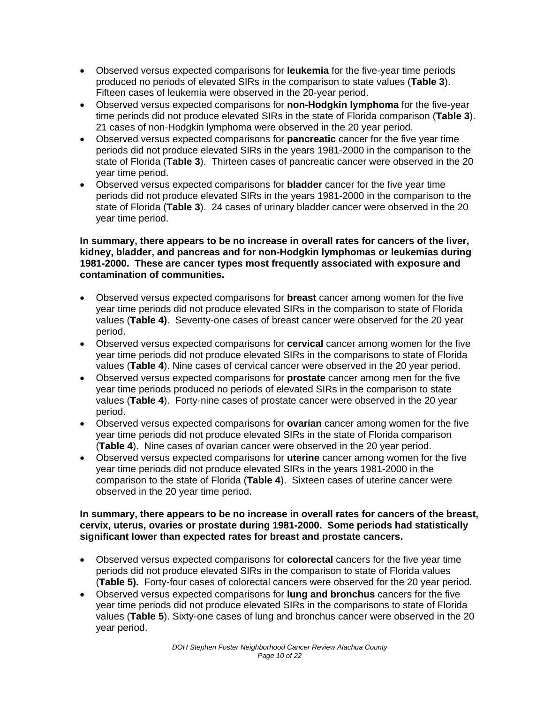- Observed versus expected comparisons for **leukemia** for the five-year time periods produced no periods of elevated SIRs in the comparison to state values (**Table 3**). Fifteen cases of leukemia were observed in the 20-year period.
- Observed versus expected comparisons for **non-Hodgkin lymphoma** for the five-year time periods did not produce elevated SIRs in the state of Florida comparison (**Table 3**). 21 cases of non-Hodgkin lymphoma were observed in the 20 year period.
- Observed versus expected comparisons for **pancreatic** cancer for the five year time periods did not produce elevated SIRs in the years 1981-2000 in the comparison to the state of Florida (**Table 3**). Thirteen cases of pancreatic cancer were observed in the 20 year time period.
- Observed versus expected comparisons for **bladder** cancer for the five year time periods did not produce elevated SIRs in the years 1981-2000 in the comparison to the state of Florida (**Table 3**). 24 cases of urinary bladder cancer were observed in the 20 year time period.

#### **In summary, there appears to be no increase in overall rates for cancers of the liver, kidney, bladder, and pancreas and for non-Hodgkin lymphomas or leukemias during 1981-2000. These are cancer types most frequently associated with exposure and contamination of communities.**

- Observed versus expected comparisons for **breast** cancer among women for the five year time periods did not produce elevated SIRs in the comparison to state of Florida values (**Table 4)**. Seventy-one cases of breast cancer were observed for the 20 year period.
- Observed versus expected comparisons for **cervical** cancer among women for the five year time periods did not produce elevated SIRs in the comparisons to state of Florida values (**Table 4**). Nine cases of cervical cancer were observed in the 20 year period.
- Observed versus expected comparisons for **prostate** cancer among men for the five year time periods produced no periods of elevated SIRs in the comparison to state values (**Table 4**). Forty-nine cases of prostate cancer were observed in the 20 year period.
- Observed versus expected comparisons for **ovarian** cancer among women for the five year time periods did not produce elevated SIRs in the state of Florida comparison (**Table 4**). Nine cases of ovarian cancer were observed in the 20 year period.
- Observed versus expected comparisons for **uterine** cancer among women for the five year time periods did not produce elevated SIRs in the years 1981-2000 in the comparison to the state of Florida (**Table 4**). Sixteen cases of uterine cancer were observed in the 20 year time period.

#### **In summary, there appears to be no increase in overall rates for cancers of the breast, cervix, uterus, ovaries or prostate during 1981-2000. Some periods had statistically significant lower than expected rates for breast and prostate cancers.**

- Observed versus expected comparisons for **colorectal** cancers for the five year time periods did not produce elevated SIRs in the comparison to state of Florida values (**Table 5).** Forty-four cases of colorectal cancers were observed for the 20 year period.
- Observed versus expected comparisons for **lung and bronchus** cancers for the five year time periods did not produce elevated SIRs in the comparisons to state of Florida values (**Table 5**). Sixty-one cases of lung and bronchus cancer were observed in the 20 year period.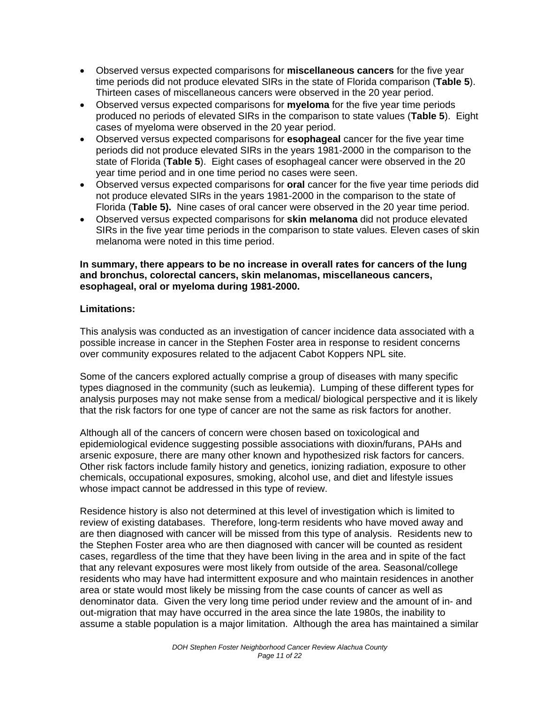- Observed versus expected comparisons for **miscellaneous cancers** for the five year time periods did not produce elevated SIRs in the state of Florida comparison (**Table 5**). Thirteen cases of miscellaneous cancers were observed in the 20 year period.
- Observed versus expected comparisons for **myeloma** for the five year time periods produced no periods of elevated SIRs in the comparison to state values (**Table 5**). Eight cases of myeloma were observed in the 20 year period.
- Observed versus expected comparisons for **esophageal** cancer for the five year time periods did not produce elevated SIRs in the years 1981-2000 in the comparison to the state of Florida (**Table 5**). Eight cases of esophageal cancer were observed in the 20 year time period and in one time period no cases were seen.
- Observed versus expected comparisons for **oral** cancer for the five year time periods did not produce elevated SIRs in the years 1981-2000 in the comparison to the state of Florida (**Table 5).** Nine cases of oral cancer were observed in the 20 year time period.
- Observed versus expected comparisons for **skin melanoma** did not produce elevated SIRs in the five year time periods in the comparison to state values. Eleven cases of skin melanoma were noted in this time period.

#### **In summary, there appears to be no increase in overall rates for cancers of the lung and bronchus, colorectal cancers, skin melanomas, miscellaneous cancers, esophageal, oral or myeloma during 1981-2000.**

#### **Limitations:**

This analysis was conducted as an investigation of cancer incidence data associated with a possible increase in cancer in the Stephen Foster area in response to resident concerns over community exposures related to the adjacent Cabot Koppers NPL site.

Some of the cancers explored actually comprise a group of diseases with many specific types diagnosed in the community (such as leukemia). Lumping of these different types for analysis purposes may not make sense from a medical/ biological perspective and it is likely that the risk factors for one type of cancer are not the same as risk factors for another.

Although all of the cancers of concern were chosen based on toxicological and epidemiological evidence suggesting possible associations with dioxin/furans, PAHs and arsenic exposure, there are many other known and hypothesized risk factors for cancers. Other risk factors include family history and genetics, ionizing radiation, exposure to other chemicals, occupational exposures, smoking, alcohol use, and diet and lifestyle issues whose impact cannot be addressed in this type of review.

Residence history is also not determined at this level of investigation which is limited to review of existing databases. Therefore, long-term residents who have moved away and are then diagnosed with cancer will be missed from this type of analysis. Residents new to the Stephen Foster area who are then diagnosed with cancer will be counted as resident cases, regardless of the time that they have been living in the area and in spite of the fact that any relevant exposures were most likely from outside of the area. Seasonal/college residents who may have had intermittent exposure and who maintain residences in another area or state would most likely be missing from the case counts of cancer as well as denominator data. Given the very long time period under review and the amount of in- and out-migration that may have occurred in the area since the late 1980s, the inability to assume a stable population is a major limitation. Although the area has maintained a similar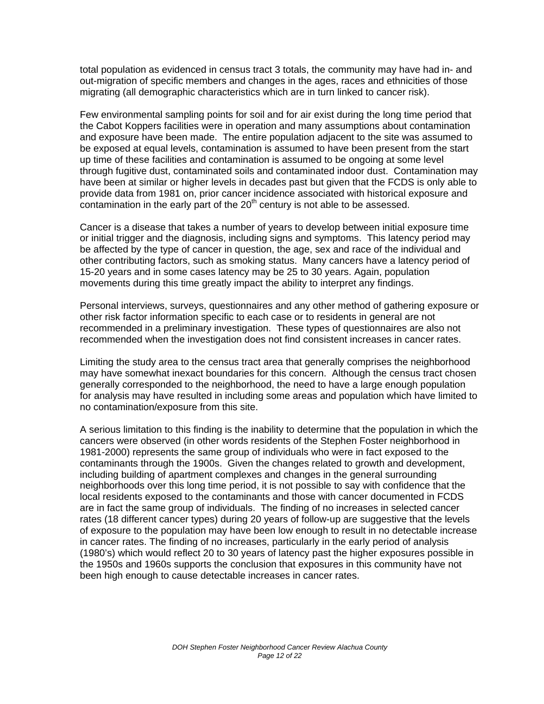total population as evidenced in census tract 3 totals, the community may have had in- and out-migration of specific members and changes in the ages, races and ethnicities of those migrating (all demographic characteristics which are in turn linked to cancer risk).

Few environmental sampling points for soil and for air exist during the long time period that the Cabot Koppers facilities were in operation and many assumptions about contamination and exposure have been made. The entire population adjacent to the site was assumed to be exposed at equal levels, contamination is assumed to have been present from the start up time of these facilities and contamination is assumed to be ongoing at some level through fugitive dust, contaminated soils and contaminated indoor dust. Contamination may have been at similar or higher levels in decades past but given that the FCDS is only able to provide data from 1981 on, prior cancer incidence associated with historical exposure and contamination in the early part of the  $20<sup>th</sup>$  century is not able to be assessed.

Cancer is a disease that takes a number of years to develop between initial exposure time or initial trigger and the diagnosis, including signs and symptoms. This latency period may be affected by the type of cancer in question, the age, sex and race of the individual and other contributing factors, such as smoking status. Many cancers have a latency period of 15-20 years and in some cases latency may be 25 to 30 years. Again, population movements during this time greatly impact the ability to interpret any findings.

Personal interviews, surveys, questionnaires and any other method of gathering exposure or other risk factor information specific to each case or to residents in general are not recommended in a preliminary investigation. These types of questionnaires are also not recommended when the investigation does not find consistent increases in cancer rates.

Limiting the study area to the census tract area that generally comprises the neighborhood may have somewhat inexact boundaries for this concern. Although the census tract chosen generally corresponded to the neighborhood, the need to have a large enough population for analysis may have resulted in including some areas and population which have limited to no contamination/exposure from this site.

A serious limitation to this finding is the inability to determine that the population in which the cancers were observed (in other words residents of the Stephen Foster neighborhood in 1981-2000) represents the same group of individuals who were in fact exposed to the contaminants through the 1900s. Given the changes related to growth and development, including building of apartment complexes and changes in the general surrounding neighborhoods over this long time period, it is not possible to say with confidence that the local residents exposed to the contaminants and those with cancer documented in FCDS are in fact the same group of individuals. The finding of no increases in selected cancer rates (18 different cancer types) during 20 years of follow-up are suggestive that the levels of exposure to the population may have been low enough to result in no detectable increase in cancer rates. The finding of no increases, particularly in the early period of analysis (1980's) which would reflect 20 to 30 years of latency past the higher exposures possible in the 1950s and 1960s supports the conclusion that exposures in this community have not been high enough to cause detectable increases in cancer rates.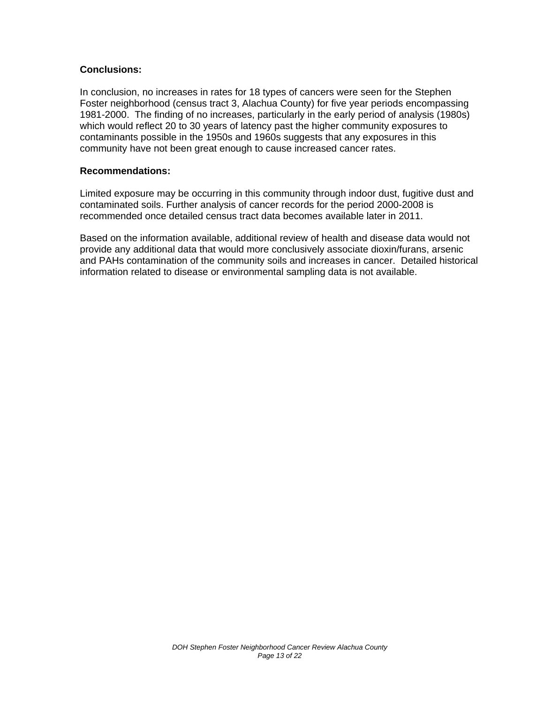#### **Conclusions:**

In conclusion, no increases in rates for 18 types of cancers were seen for the Stephen Foster neighborhood (census tract 3, Alachua County) for five year periods encompassing 1981-2000. The finding of no increases, particularly in the early period of analysis (1980s) which would reflect 20 to 30 years of latency past the higher community exposures to contaminants possible in the 1950s and 1960s suggests that any exposures in this community have not been great enough to cause increased cancer rates.

#### **Recommendations:**

Limited exposure may be occurring in this community through indoor dust, fugitive dust and contaminated soils. Further analysis of cancer records for the period 2000-2008 is recommended once detailed census tract data becomes available later in 2011.

Based on the information available, additional review of health and disease data would not provide any additional data that would more conclusively associate dioxin/furans, arsenic and PAHs contamination of the community soils and increases in cancer. Detailed historical information related to disease or environmental sampling data is not available.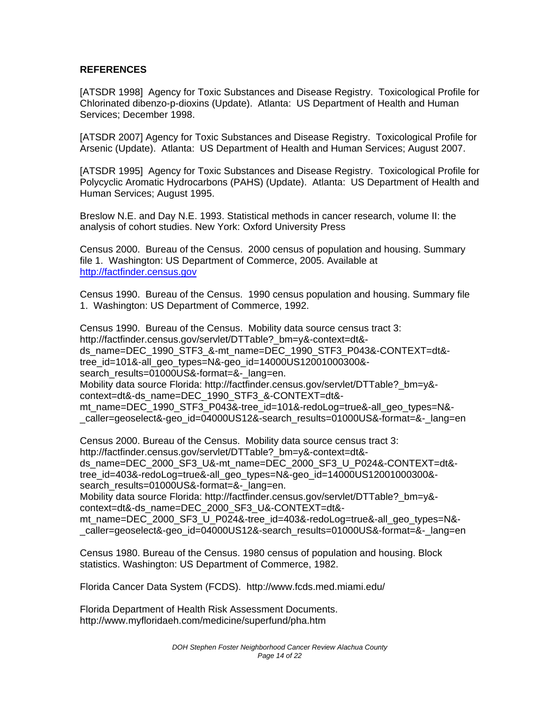#### **REFERENCES**

[ATSDR 1998] Agency for Toxic Substances and Disease Registry. Toxicological Profile for Chlorinated dibenzo-p-dioxins (Update). Atlanta: US Department of Health and Human Services; December 1998.

[ATSDR 2007] Agency for Toxic Substances and Disease Registry. Toxicological Profile for Arsenic (Update). Atlanta: US Department of Health and Human Services; August 2007.

[ATSDR 1995] Agency for Toxic Substances and Disease Registry. Toxicological Profile for Polycyclic Aromatic Hydrocarbons (PAHS) (Update). Atlanta: US Department of Health and Human Services; August 1995.

Breslow N.E. and Day N.E. 1993. Statistical methods in cancer research, volume II: the analysis of cohort studies. New York: Oxford University Press

Census 2000. Bureau of the Census. 2000 census of population and housing. Summary file 1. Washington: US Department of Commerce, 2005. Available at [http://factfinder.census.gov](http://factfinder.census.gov/)

Census 1990. Bureau of the Census. 1990 census population and housing. Summary file 1. Washington: US Department of Commerce, 1992.

Census 1990. Bureau of the Census. Mobility data source census tract 3: http://factfinder.census.gov/servlet/DTTable? bm=y&-context=dt&ds\_name=DEC\_1990\_STF3\_&-mt\_name=DEC\_1990\_STF3\_P043&-CONTEXT=dt& tree\_id=101&-all\_geo\_types=N&-geo\_id=14000US12001000300& search\_results=01000US&-format=&-\_lang=en. Mobility data source Florida: http://factfinder.census.gov/servlet/DTTable? bm=v&context=dt&-ds\_name=DEC\_1990\_STF3\_&-CONTEXT=dt& mt\_name=DEC\_1990\_STF3\_P043&-tree\_id=101&-redoLog=true&-all\_geo\_types=N&-\_caller=geoselect&-geo\_id=04000US12&-search\_results=01000US&-format=&-\_lang=en

Census 2000. Bureau of the Census. Mobility data source census tract 3: http://factfinder.census.gov/servlet/DTTable? bm=y&-context=dt&ds\_name=DEC\_2000\_SF3\_U&-mt\_name=DEC\_2000\_SF3\_U\_P024&-CONTEXT=dt&tree\_id=403&-redoLog=true&-all\_geo\_types=N&-geo\_id=14000US12001000300& search\_results=01000US&-format=&-\_lang=en. Mobility data source Florida: http://factfinder.census.gov/servlet/DTTable? bm=y&-

context=dt&-ds\_name=DEC\_2000\_SF3\_U&-CONTEXT=dt&-

mt name=DEC 2000 SF3 U P024&-tree id=403&-redoLog=true&-all geo types=N&-\_caller=geoselect&-geo\_id=04000US12&-search\_results=01000US&-format=&-\_lang=en

Census 1980. Bureau of the Census. 1980 census of population and housing. Block statistics. Washington: US Department of Commerce, 1982.

Florida Cancer Data System (FCDS). http://www.fcds.med.miami.edu/

Florida Department of Health Risk Assessment Documents. http://www.myfloridaeh.com/medicine/superfund/pha.htm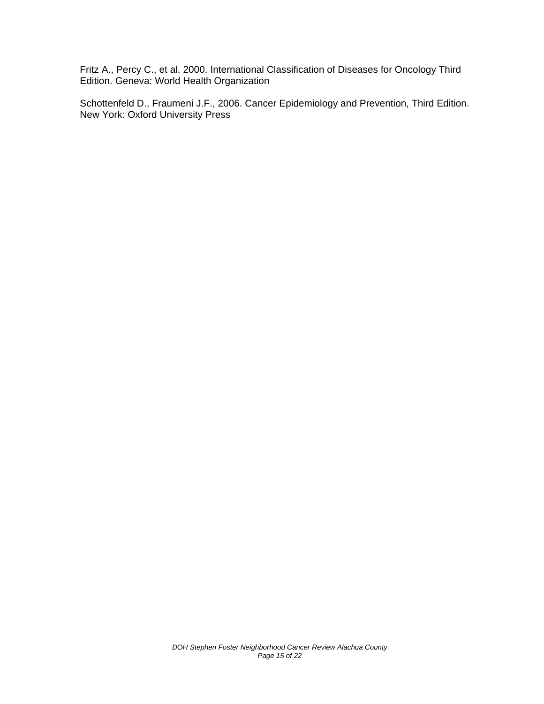Fritz A., Percy C., et al. 2000. International Classification of Diseases for Oncology Third Edition. Geneva: World Health Organization

Schottenfeld D., Fraumeni J.F., 2006. Cancer Epidemiology and Prevention, Third Edition. New York: Oxford University Press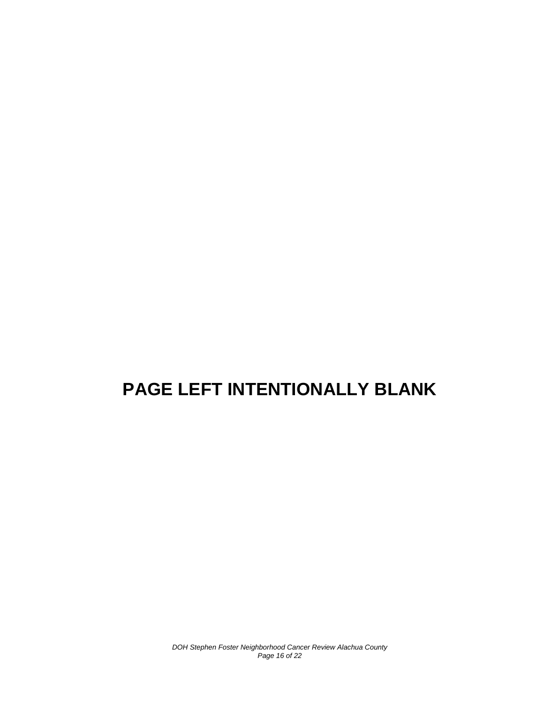# **PAGE LEFT INTENTIONALLY BLANK**

*DOH Stephen Foster Neighborhood Cancer Review Alachua County Page 16 of 22*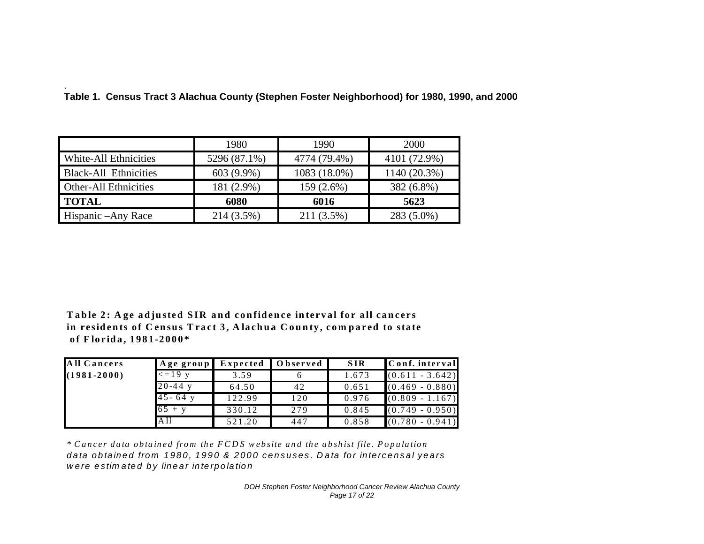|                              | 1980         | 1990         | 2000         |
|------------------------------|--------------|--------------|--------------|
| White-All Ethnicities        | 5296 (87.1%) | 4774 (79.4%) | 4101 (72.9%) |
| <b>Black-All Ethnicities</b> | 603 (9.9%)   | 1083 (18.0%) | 1140 (20.3%) |
| <b>Other-All Ethnicities</b> | 181 (2.9%)   | 159 (2.6%)   | 382 (6.8%)   |
| <b>TOTAL</b>                 | 6080         | 6016         | 5623         |
| Hispanic – Any Race          | 214 (3.5%)   | 211 (3.5%)   | 283 (5.0%)   |

.

**Table 1. Census Tract 3 Alachua County (Stephen Foster Neighborhood) for 1980, 1990, and 2000**

**Table 2: Age adjusted SIR and confidence interval for all cancers in residents of C ensus Tract 3, A lachua County, com pared to state of Florida, 1981-2000\***

| All Cancers     | Age group Expected |        | Observed | <b>SIR</b> | Conf. interval    |
|-----------------|--------------------|--------|----------|------------|-------------------|
| $(1981 - 2000)$ | $\leq$ = 19 y      | 3.59   | b        | 1.673      | $(0.611 - 3.642)$ |
|                 | $20 - 44$ v        | 64.50  | 42       | 0.651      | $(0.469 - 0.880)$ |
|                 | 45-64 v            | 122.99 | 120      | 0.976      | $(0.809 - 1.167)$ |
|                 | $65 + v$           | 330.12 | 279      | 0.845      | $(0.749 - 0.950)$ |
|                 | Αll                | 521.20 | 447      | 0.858      | $(0.780 - 0.941)$ |

*\* Cancer data obtained from the FCD S website and the abshist file. Population data obtained from 1980, 1990 & 2000 censuses. D ata for intercensal years <sup>w</sup> ere estim ated by linear interpolation*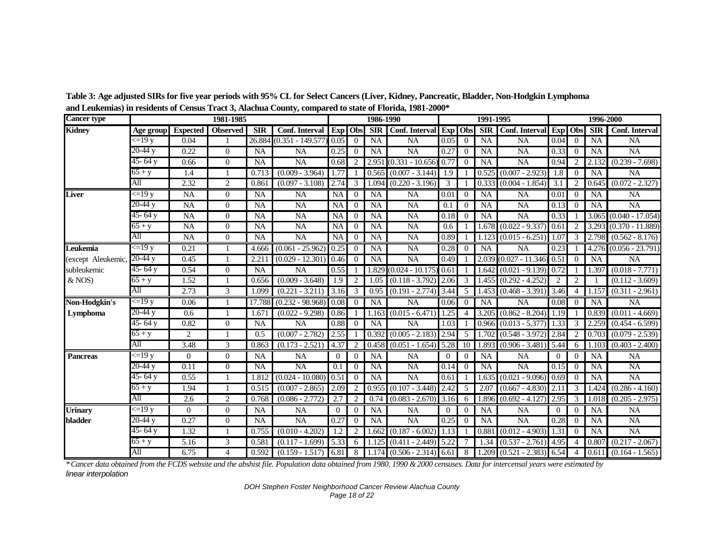| <b>Cancer type</b> |                   |                 | 1981-1985                |            |                          |           |                | 1986-1990 |                               |          |                | 1991-1995 |                                |          | 1996-2000      |                         |                            |  |
|--------------------|-------------------|-----------------|--------------------------|------------|--------------------------|-----------|----------------|-----------|-------------------------------|----------|----------------|-----------|--------------------------------|----------|----------------|-------------------------|----------------------------|--|
| <b>Kidney</b>      | Age group         | <b>Expected</b> | <b>Observed</b>          | <b>SIR</b> | Conf. Interval           |           | Exp Obs        | SIR       | Conf. Interval Exp            |          | Obs            | SIR       | Conf. Interval Exp Obs         |          |                | $\overline{\text{SIR}}$ | <b>Conf.</b> Interval      |  |
|                    | <=19 v            | 0.04            |                          |            | 26.884 (0.351 - 149.577) | 0.05      | $\Omega$       | <b>NA</b> | NA                            | 0.05     | $\Omega$       | <b>NA</b> | NA                             | 0.04     | $\Omega$       | <b>NA</b>               | <b>NA</b>                  |  |
|                    | 20-44 y           | 0.22            | $\Omega$                 | <b>NA</b>  | <b>NA</b>                | 0.25      | $\Omega$       | <b>NA</b> | <b>NA</b>                     | 0.27     | $\Omega$       | <b>NA</b> | $\overline{NA}$                | 0.33     | $\Omega$       | <b>NA</b>               | NA                         |  |
|                    | 45- 64 y          | 0.66            | $\overline{0}$           | <b>NA</b>  | <b>NA</b>                | 0.68      | $\overline{2}$ |           | $2.951$ (0.331 - 10.656) 0.77 |          | $\Omega$       | <b>NA</b> | NA                             | 0.94     | 2              | 2.132                   | $(0.239 - 7.698)$          |  |
|                    | $65 + y$          | 1.4             |                          | 0.713      | $(0.009 - 3.964)$        | 1.77      |                | 0.565     | $(0.007 - 3.144)$             | 1.9      |                |           | $0.525$ $(0.007 - 2.923)$      | 1.8      | $\theta$       | <b>NA</b>               | <b>NA</b>                  |  |
|                    | All               | 2.32            | 2                        | 0.861      | $(0.097 - 3.108)$        | 2.74      | 3              | 1.094     | $(0.220 - 3.196)$             | 3        |                |           | $0.333$ (0.004 - 1.854)        | 3.1      | $\overline{2}$ | 0.645                   | $(0.072 - 2.327)$          |  |
| <b>Liver</b>       | $\leq$ =19 y      | NA              | $\overline{0}$           | <b>NA</b>  | <b>NA</b>                | NA        | $\Omega$       | <b>NA</b> | <b>NA</b>                     | 0.01     | $\Omega$       | <b>NA</b> | <b>NA</b>                      | 0.01     | $\theta$       | <b>NA</b>               | NA                         |  |
|                    | $20-44y$          | <b>NA</b>       | $\overline{0}$           | <b>NA</b>  | <b>NA</b>                | <b>NA</b> | $\Omega$       | NA        | <b>NA</b>                     | 0.1      | $\Omega$       | NA        | NA                             | 0.13     | $\Omega$       | <b>NA</b>               | NA                         |  |
|                    | 45- 64 y          | <b>NA</b>       | $\Omega$                 | <b>NA</b>  | <b>NA</b>                | <b>NA</b> | $\overline{0}$ | NA        | <b>NA</b>                     | 0.18     | $\Omega$       | NA        | NA                             | 0.33     |                |                         | $3.065$ $(0.040 - 17.054)$ |  |
|                    | $65 + y$          | <b>NA</b>       | $\overline{0}$           | <b>NA</b>  | <b>NA</b>                | NA        | $\theta$       | <b>NA</b> | <b>NA</b>                     | 0.6      |                | 1.678     | $(0.022 - 9.337)$              | 0.61     | 2              |                         | $3.293$ $(0.370 - 11.889)$ |  |
|                    | All               | <b>NA</b>       | $\overline{0}$           | <b>NA</b>  | <b>NA</b>                | <b>NA</b> | $\theta$       | <b>NA</b> | <b>NA</b>                     | 0.89     |                | 1.123     | $(0.015 - 6.251)$              | 1.07     | 3              | 2.798                   | $(0.562 - 8.176)$          |  |
| Leukemia           | $\leq$ =19 y      | 0.21            |                          | 4.666      | $(0.061 - 25.962)$ 0.25  |           | $\overline{0}$ | NA        | NA                            | 0.28     | $\overline{0}$ | <b>NA</b> | $\overline{NA}$                | 0.23     |                |                         | $4.276$ $(0.056 - 23.791)$ |  |
| except Aleukemic,  | $20-44y$          | 0.45            |                          | 2.211      | $(0.029 - 12.301)$       | 0.46      | $\Omega$       | NA        | <b>NA</b>                     | 0.49     |                |           | $2.039(0.027 - 11.346)0.51$    |          | $\Omega$       | <b>NA</b>               | <b>NA</b>                  |  |
| subleukemic        | $45 - 64$ y       | 0.54            | $\Omega$                 | NA         | <b>NA</b>                | 0.55      |                |           | 1.829 (0.024 - 10.175         | 0.61     |                | 1.642     | $(0.021 - 9.139)$              | 0.72     |                | 1.397                   | $(0.018 - 7.771)$          |  |
| &NOS               | $\overline{65+y}$ | 1.52            | 1                        | 0.656      | $(0.009 - 3.648)$        | 1.9       | 2              | 1.05      | $(0.118 - 3.792)$             | 2.06     | 3              |           | $1.455$ $(0.292 - 4.252)$      | 2        | 2              |                         | $(0.112 - 3.609)$          |  |
|                    | All               | 2.73            | 3                        | 1.099      | $(0.221 - 3.211)$        | 3.16      | 3              | 0.95      | $(0.191 - 2.774)$             | 3.44     | 5              |           | $1.453$ $(0.468 - 3.391)$      | 3.46     | 4              | 1.157                   | $(0.311 - 2.961)$          |  |
| Non-Hodgkin's      | $\leq$ =19 y      | 0.06            |                          | 17.788     | $(0.232 - 98.968)$       | 0.08      | $\overline{0}$ | NA        | <b>NA</b>                     | 0.06     | $\Omega$       | <b>NA</b> | $\overline{NA}$                | 0.08     | $\theta$       | <b>NA</b>               | NA                         |  |
| Lymphoma           | 20-44 y           | 0.6             | $\mathbf{1}$             | 1.671      | $(0.022 - 9.298)$        | 0.86      | - 1            | 1.163     | $(0.015 - 6.471)$             | 1.25     | $\overline{4}$ | 3.205     | $(0.862 - 8.204)$              | 1.19     |                | 0.839                   | $(0.011 - 4.669)$          |  |
|                    | 45- 64 y          | 0.82            | $\overline{0}$           | <b>NA</b>  | <b>NA</b>                | 0.88      | $\overline{0}$ | NA        | <b>NA</b>                     | 1.03     |                | 0.966     | $(0.013 - 5.377)$              | 1.33     | 3              | 2.259                   | $(0.454 - 6.599)$          |  |
|                    | $65 + y$          | 2               |                          | 0.5        | $(0.007 - 2.782)$        | 2.55      |                | 0.392     | $(0.005 - 2.183)$             | 2.94     | 5              | 1.702     | $(0.548 - 3.972)$              | 2.84     | 2              | 0.703                   | $(0.079 - 2.539)$          |  |
|                    | All               | 3.48            | $\overline{3}$           | 0.863      | $(0.173 - 2.521)$        | 4.37      | 2              | 0.458     | $(0.051 - 1.654)$             | 5.28     | 10             |           | $1.893$ $(0.906 - 3.481)$      | 5.44     | 6              | 1.103                   | $(0.403 - 2.400)$          |  |
| <b>Pancreas</b>    | $\leq$ 19 y       | $\Omega$        | $\overline{0}$           | <b>NA</b>  | <b>NA</b>                | $\Omega$  | $\theta$       | <b>NA</b> | <b>NA</b>                     | $\Omega$ | $\Omega$       | <b>NA</b> | NA                             | 0        | $\Omega$       | <b>NA</b>               | NA                         |  |
|                    | $20-44y$          | 0.11            | $\theta$                 | <b>NA</b>  | <b>NA</b>                | 0.1       | $\Omega$       | <b>NA</b> | <b>NA</b>                     | 0.14     | $\theta$       | NA        | NA                             | 0.15     | $\Omega$       | <b>NA</b>               | NA                         |  |
|                    | 45- 64 y          | 0.55            |                          | 1.812      | $(0.024 - 10.080)$       | 0.51      | $\overline{0}$ | <b>NA</b> | <b>NA</b>                     | 0.61     |                | 1.635     | $(0.021 - 9.096) 0.69$         |          | $\overline{0}$ | <b>NA</b>               | $\overline{NA}$            |  |
|                    | $65 + y$          | 1.94            |                          | 0.515      | $(0.007 - 2.865)$        | 2.09      | 2              | 0.955     | $(0.107 - 3.448)$             | 2.42     | 5              | 2.07      | $(0.667 - 4.830)$              | 2.11     | 3              | 1.424                   | $(0.286 - 4.160)$          |  |
|                    | All               | 2.6             | $\overline{2}$           | 0.768      | $(0.086 - 2.772)$        | 2.7       | 2              | 0.74      | $(0.083 - 2.670)$             | 3.16     | 6              | 1.896     | $(0.692 - 4.127)$              | 2.95     | 3              | 1.018                   | $(0.205 - 2.975)$          |  |
| Urinary            | $\leq$ =19 y      | $\Omega$        | $\theta$                 | <b>NA</b>  | <b>NA</b>                | $\Omega$  | $\theta$       | NA        | <b>NA</b>                     | $\Omega$ | $\Omega$       | <b>NA</b> | NA                             | $\Omega$ | $\theta$       | <b>NA</b>               | NA                         |  |
| bladder            | $20-44y$          | 0.27            | $\Omega$                 | <b>NA</b>  | NA                       | 0.27      | $\Omega$       | NA        | NA                            | 0.25     | $\Omega$       | <b>NA</b> | $\overline{NA}$                | 0.28     | $\Omega$       | <b>NA</b>               | <b>NA</b>                  |  |
|                    | 45- 64 y          | 1.32            |                          | 0.755      | $(0.010 - 4.202)$        | 1.2       | 2              | 1.662     | $(0.187 - 6.002)$             | 1.13     |                | 0.881     | $(0.012 - 4.903)$              | 1.31     | $\Omega$       | <b>NA</b>               | <b>NA</b>                  |  |
|                    | $65 + y$          | 5.16            | 3                        | 0.581      | $(0.117 - 1.699)$        | 5.33      | 6              | 1.125     | $(0.411 - 2.449)$             | 5.22     | 7              | 1.34      | $(0.537 - 2.761)$ 4.95         |          | $\overline{4}$ | 0.807                   | $(0.217 - 2.067)$          |  |
|                    | All               | 6.75            | $\overline{\mathcal{A}}$ | 0.592      | $(0.159 - 1.517)$        | 6.81      | 8              | 1.174     | $(0.506 - 2.314)$ 6.61        |          | 8              |           | $1.209$ $(0.521 - 2.383)$ 6.54 |          | 4              | 0.611                   | $(0.164 - 1.565)$          |  |

**Table 3: Age adjusted SIRs for five year periods with 95% CL for Select Cancers (Liver, Kidney, Pancreatic, Bladder, Non-Hodgkin Lymphoma and Leukemias) in residents of Census Tract 3, Alachua County, compared to state of Florida, 1981-2000\***

*\* Cancer data obtained from the FCDS website and the abshist file. Population data obtained from 1980, 1990 & 2000 censuses. Data for intercensal years were estimated by linear interpolation*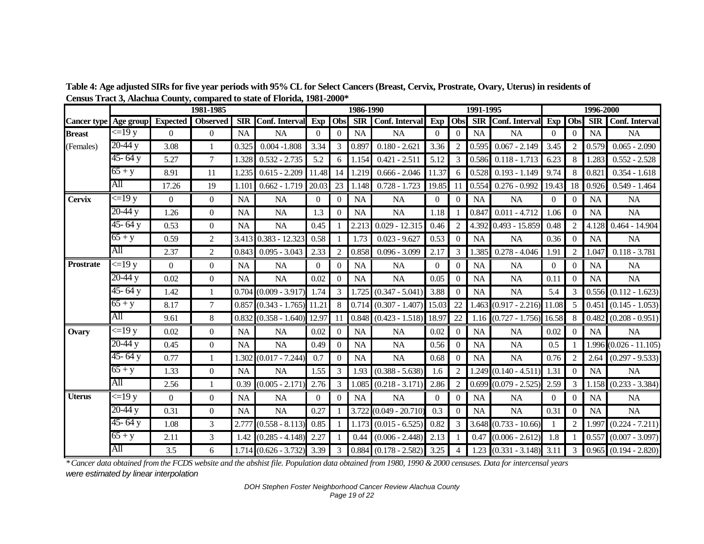|                       | 1981-1985           |                 |                 |            |                                 |          | 1986-1990        |           |                                 |          |                  | 1991-1995 |                               | 1996-2000      |                        |           |                           |  |
|-----------------------|---------------------|-----------------|-----------------|------------|---------------------------------|----------|------------------|-----------|---------------------------------|----------|------------------|-----------|-------------------------------|----------------|------------------------|-----------|---------------------------|--|
| Cancer type Age group |                     | <b>Expected</b> | <b>Observed</b> | <b>SIR</b> | Conf. Interval Exp              |          | Obs              | SIR       | <b>Conf. Interval</b>           | Exp Obs  |                  | SIR       | <b>Conf. Interval Exp</b>     |                | Obs                    | SIR       | <b>Conf. Interval</b>     |  |
| <b>Breast</b>         | $\leq$ 19 y         | $\Omega$        | $\Omega$        | <b>NA</b>  | NA                              | $\Omega$ | $\theta$         | NA        | NA                              | $\Omega$ | $\Omega$         | <b>NA</b> | NA                            | $\theta$       |                        | <b>NA</b> | NA                        |  |
| (Females)             | $20-44y$            | 3.08            | $\mathbf{1}$    | 0.325      | $0.004 - 1.808$                 | 3.34     | $\overline{3}$   | 0.897     | $0.180 - 2.621$                 | 3.36     | $\overline{2}$   | 0.595     | $0.067 - 2.149$               | 3.45           | $\overline{c}$         | 0.579     | $0.065 - 2.090$           |  |
|                       | $45 - 64y$          | 5.27            | $\overline{7}$  | 1.328      | $0.532 - 2.735$                 | 5.2      | 6                | 1.154     | $0.421 - 2.511$                 | 5.12     | $\overline{3}$   | 0.586     | $0.118 - 1.713$               | 6.23           | 8                      | 1.283     | $0.552 - 2.528$           |  |
|                       | $\overline{65} + y$ | 8.91            | 11              | 1.235      | $0.615 - 2.209$                 | 11.48    | 14               | 1.219     | $0.666 - 2.046$                 | 11.37    | 6                | 0.528     | $0.193 - 1.149$               | 9.74           | 8                      | 0.821     | $0.354 - 1.618$           |  |
|                       | All                 | 17.26           | 19              | 1.101      | $0.662 - 1.719$ 20.03           |          | 23               | 1.148     | $0.728 - 1.723$                 | 19.85    | 11               |           | $0.554$ 0.276 - 0.992         | 19.43          |                        | 18 0.926  | $0.549 - 1.464$           |  |
| <b>Cervix</b>         | $\leq$ 19 y         | $\Omega$        | $\Omega$        | NA         | <b>NA</b>                       | $\Omega$ | $\theta$         | NA        | NA                              | $\Omega$ | $\Omega$         | <b>NA</b> | <b>NA</b>                     | $\Omega$       | 0                      | <b>NA</b> | NA                        |  |
|                       | $20-44y$            | 1.26            | $\theta$        | <b>NA</b>  | <b>NA</b>                       | 1.3      | $\boldsymbol{0}$ | <b>NA</b> | <b>NA</b>                       | 1.18     |                  | 0.847     | $0.011 - 4.712$               | 1.06           | 0                      | <b>NA</b> | NA                        |  |
|                       | $45 - 64y$          | 0.53            | $\Omega$        | <b>NA</b>  | NA                              | 0.45     |                  | 2.213     | $0.029 - 12.315$                | 0.46     | $\overline{2}$   |           | 4.392 0.493 - 15.859          | 0.48           | $\mathfrak{D}$         | 4.128     | $0.464 - 14.904$          |  |
|                       | $\overline{65} + y$ | 0.59            | 2               | 3.41       | $0.383 - 12.323$                | 0.58     |                  | 1.73      | $0.023 - 9.627$                 | 0.53     | $\Omega$         | <b>NA</b> | NA                            | 0.36           | $\Omega$               | <b>NA</b> | NA                        |  |
|                       | All                 | 2.37            | 2               | 0.843      | $0.095 - 3.043$                 | 2.33     | 2                | 0.858     | $0.096 - 3.099$                 | 2.17     | 3                | 1.385     | $0.278 - 4.046$               | 1.91           | $\overline{2}$         | 1.047     | $0.118 - 3.781$           |  |
| <b>Prostrate</b>      | $\leq$ 19 y         | $\Omega$        | $\overline{0}$  | <b>NA</b>  | NA                              | $\Omega$ | $\theta$         | NA        | NA                              | $\Omega$ | $\overline{0}$   | <b>NA</b> | <b>NA</b>                     | $\Omega$       |                        | <b>NA</b> | NA                        |  |
|                       | $20-44y$            | 0.02            | $\mathbf{0}$    | <b>NA</b>  | NA                              | 0.02     | $\mathbf{0}$     | <b>NA</b> | NA                              | 0.05     | $\overline{0}$   | NA        | <b>NA</b>                     | 0.11           | $\Omega$               | <b>NA</b> | NA                        |  |
|                       | $45 - 64y$          | 1.42            | $\mathbf{1}$    | 0.704      | $(0.009 - 3.917)$               | 1.74     | 3                | 1.725     | $(0.347 - 5.041)$               | 3.88     | $\theta$         | <b>NA</b> | NA                            | 5.4            | 3                      |           | $0.556$ $(0.112 - 1.623)$ |  |
|                       | $65 + y$            | 8.17            | $\tau$          |            | $0.857$ $(0.343 - 1.765)$ 11.21 |          | 8                |           | $0.714$ $(0.307 - 1.407)$       | 15.03    | 22               |           | $1.463(0.917 - 2.216)$        | 11.08          | 5                      |           | $0.451$ (0.145 - 1.053)   |  |
|                       | All                 | 9.61            | 8               |            | $0.832$ $(0.358 - 1.640)$ 12.97 |          | -11              |           | $0.848$ $(0.423 - 1.518)$ 18.97 |          | 22               |           | $1.16$ (0.727 - 1.756) 16.58  |                | 8                      |           | $0.482$ $(0.208 - 0.951)$ |  |
| Ovary                 | $\leq$ 19 y         | 0.02            | $\Omega$        | <b>NA</b>  | <b>NA</b>                       | 0.02     | $\theta$         | NA        | NA                              | 0.02     | $\overline{0}$   | <b>NA</b> | <b>NA</b>                     | 0.02           | 0                      | <b>NA</b> | NA                        |  |
|                       | $20-44y$            | 0.45            | $\theta$        | <b>NA</b>  | <b>NA</b>                       | 0.49     | $\mathbf{0}$     | <b>NA</b> | NA                              | 0.56     | $\boldsymbol{0}$ | NA        | <b>NA</b>                     | 0.5            |                        |           | $1.996(0.026 - 11.105)$   |  |
|                       | $45 - 64y$          | 0.77            | $\mathbf{1}$    | 1.302      | $(0.017 - 7.244)$               | 0.7      | $\Omega$         | NA        | NA                              | 0.68     | $\theta$         | <b>NA</b> | NA                            | 0.76           | $\mathcal{D}_{\alpha}$ | 2.64      | $(0.297 - 9.533)$         |  |
|                       | $65 + y$            | 1.33            | $\mathbf{0}$    | <b>NA</b>  | NA                              | 1.55     | $\mathfrak{Z}$   | 1.93      | $(0.388 - 5.638)$               | 1.6      | 2                |           | $1.249$ $(0.140 - 4.511)$     | 1.31           | 0                      | <b>NA</b> | NA                        |  |
|                       | All                 | 2.56            | $\mathbf{1}$    | 0.39       | $(0.005 - 2.171)$               | 2.76     | $\overline{3}$   |           | $1.085$ $(0.218 - 3.171)$       | 2.86     | 2                |           | $0.699$ $(0.079 - 2.525)$     | 2.59           | 3                      |           | $1.158$ $(0.233 - 3.384)$ |  |
| <b>Uterus</b>         | $\leq$ 19 y         | $\Omega$        | $\mathbf{0}$    | <b>NA</b>  | <b>NA</b>                       | $\Omega$ | $\theta$         | NA        | NA                              | $\Omega$ | $\overline{0}$   | <b>NA</b> | <b>NA</b>                     | $\overline{0}$ | 0                      | <b>NA</b> | NA                        |  |
|                       | $20-44y$            | 0.31            | $\overline{0}$  | <b>NA</b>  | <b>NA</b>                       | 0.27     | $\mathbf{1}$     |           | $3.722(0.049 - 20.710)$         | 0.3      | $\overline{0}$   | <b>NA</b> | <b>NA</b>                     | 0.31           | $\Omega$               | <b>NA</b> | NA                        |  |
|                       | 45-64 y             | 1.08            | 3               | 2.77       | $(0.558 - 8.113)$               | 0.85     | $\overline{1}$   | 1.173     | $(0.015 - 6.525)$               | 0.82     | 3                |           | $3.648$ $(0.733 - 10.66)$     | $\mathbf{1}$   | 2                      | 1.997     | $(0.224 - 7.211)$         |  |
|                       | $65 + y$            | 2.11            | 3               | 1.42       | $(0.285 - 4.148)$               | 2.27     | $\overline{1}$   | 0.44      | $(0.006 - 2.448)$               | 2.13     | $\mathbf{1}$     | 0.47      | $(0.006 - 2.612)$             | 1.8            |                        |           | $0.557$ (0.007 - 3.097)   |  |
|                       | All                 | 3.5             | 6               |            | $1.714(0.626 - 3.732)$ 3.39     |          | 3                |           | $0.884$ $(0.178 - 2.582)$ 3.25  |          | $\overline{4}$   |           | $1.23$ $(0.331 - 3.148)$ 3.11 |                | $\mathcal{R}$          |           | $0.965$ $(0.194 - 2.820)$ |  |

**Table 4: Age adjusted SIRs for five year periods with 95% CL for Select Cancers (Breast, Cervix, Prostrate, Ovary, Uterus) in residents of Census Tract 3, Alachua County, compared to state of Florida, 1981-2000\***

*\* Cancer data obtained from the FCDS website and the abshist file. Population data obtained from 1980, 1990 & 2000 censuses. Data for intercensal years were estimated by linear interpolation*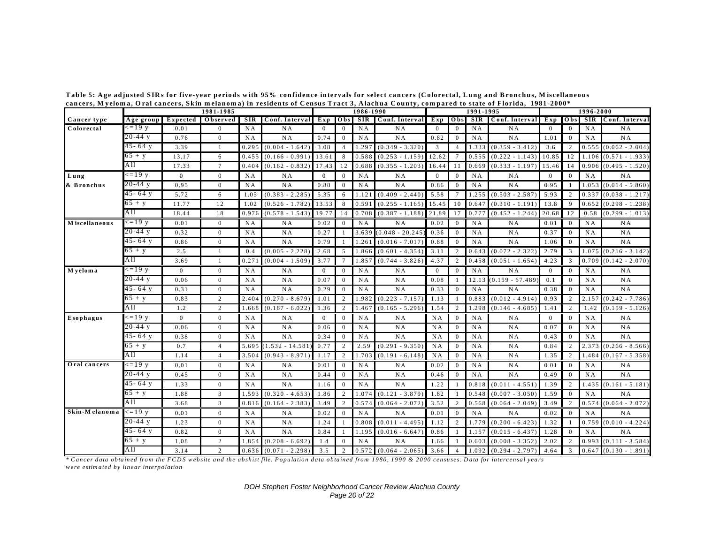|               | 1981-1985           |                |                |                |                   |                | 1986-1990             |            |                           |                | 1991-1995       |                   | 1996-2000               |                |                |            |                   |
|---------------|---------------------|----------------|----------------|----------------|-------------------|----------------|-----------------------|------------|---------------------------|----------------|-----------------|-------------------|-------------------------|----------------|----------------|------------|-------------------|
| Cancer type   | Age group           | Expected       | Observed       | <b>SIR</b>     | Conf. Interval    | Exp            | Obs                   | <b>SIR</b> | Conf. Interval            | Exp            | Obs             | <b>SIR</b>        | Conf. Interval          | Exp            | Obs            | <b>SIR</b> | Conf. Interval    |
| Colorectal    | $\overline{z=19}$ y | 0.01           | $\Omega$       | N <sub>A</sub> | N <sub>A</sub>    | $\Omega$       | $\Omega$              | NA         | <b>NA</b>                 | $\Omega$       | $\Omega$        | NA                | NA                      | $\Omega$       | $\theta$       | <b>NA</b>  | NA                |
|               | $20 - 44$ y         | 0.76           | $\Omega$       | N <sub>A</sub> | NA                | 0.74           |                       | NA         | N <sub>A</sub>            | 0.82           | $\Omega$        | NA                | N A                     | 1.01           | $\Omega$       | <b>NA</b>  | NA                |
|               | 45-64 v             | 3.39           |                | 0.295          | $(0.004 - 1.642)$ | 3.08           |                       | .297       | $(0.349 - 3.320)$         | 3              | 4               | 1.33              | $(0.359 - 3.412)$       | 3.6            | $\overline{2}$ | 0.555      | $(0.062 - 2.004)$ |
|               | $\overline{65}$ + y | 13.17          | 6              | 0.455          | $(0.166 - 0.991)$ | 13.61          | $\mathbf{\mathsf{R}}$ | 0.588      | $(0.253 - 1.159)$         | 12.62          |                 | 0.555             | $(0.222 - 1.143)$       | 10.85          | 12             | 1.106      | $(0.571 - 1.933)$ |
|               | A 11                | 17.33          | $\tau$         | 0.404          | $(0.162 - 0.832)$ | 17.43          | 12                    | 0.688      | $(0.355 - 1.203)$         | 16.44          | 11              | 0.669             | $(0.333 - 1.197)$       | 15.46          | 14             | 0.906      | $(0.495 - 1.520)$ |
| Lung          | $\leq$ = 19 y       | $\overline{0}$ | $\overline{0}$ | N A            | N A               | $\mathbf{0}$   | $\Omega$              | N A        | N A                       | $\mathbf{0}$   | $\overline{0}$  | N <sub>A</sub>    | N A                     | $\mathbf{0}$   | $\overline{0}$ | N A        | N A               |
| & Bronchus    | 20-44 y             | 0.95           | $\overline{0}$ | N A            | N <sub>A</sub>    | 0.88           | $\Omega$              | N A        | N <sub>A</sub>            | 0.86           | $\overline{0}$  | N <sub>A</sub>    | N A                     | 0.95           |                | 1.053      | $(0.014 - 5.860)$ |
|               | $45 - 64$ y         | 5.72           | 6              | 1.05           | $(0.383 - 2.285)$ | 5.35           | 6                     | 1.121      | $(0.409 - 2.440)$         | 5.58           | $7\phantom{.0}$ | 1.255             | $(0.503 - 2.587)$       | 5.93           | 2              | 0.337      | $(0.038 - 1.217)$ |
|               | $65 + y$            | 11.77          | 12             | 1.02           | $(0.526 - 1.782)$ | 13.53          | 8                     | 0.591      | $(0.255 - 1.165)$         | 15.45          | 10              | 0.647             | $(0.310 - 1.191)$       | 13.8           | 9              | 0.652      | $(0.298 - 1.238)$ |
|               | All                 | 18.44          | 18             | 0.976          | $(0.578 - 1.543)$ | 19.77          | 14                    | 0.708      | $(0.387 - 1.188)$         | 21.89          | 17              | 0.777             | $(0.452 - 1.244)$       | 20.68          | 12             | 0.58       | $(0.299 - 1.013)$ |
| Miscellaneous | $\leq$ = 19 y       | 0.01           | $\Omega$       | N A            | N A               | 0.02           | $\Omega$              | <b>NA</b>  | N A                       | 0.02           | $\Omega$        | NA                | N A                     | 0.01           | $\overline{0}$ | N A        | N A               |
|               | $20 - 44$ v         | 0.32           | $\Omega$       | N A            | N A               | 0.27           |                       | 3.639      | $(0.048 - 20.245$         | 0.36           | $\Omega$        | NA                | NA                      | 0.37           | $\overline{0}$ | N A        | N A               |
|               | $45 - 64$ y         | 0.86           | $\overline{0}$ | NA             | NA                | 0.79           |                       | 1.261      | $(0.016 - 7.017)$         | 0.88           | $\overline{0}$  | NA                | NA                      | 1.06           | $\overline{0}$ | <b>NA</b>  | N A               |
|               | $65 + y$            | 2.5            |                | 0.4            | $(0.005 - 2.228)$ | 2.68           | 5                     | 1.866      | $(0.601 - 4.354)$         | 3.11           | 2               | 0.64              | $(0.072 - 2.322)$       | 2.79           | 3              | 1.075      | $(0.216 - 3.142)$ |
|               | A 11                | 3.69           |                | 0.271          | $(0.004 - 1.509)$ | 3.77           |                       | 1.857      | $(0.744 - 3.826)$         | 4.37           | 2               | 0.458             | $(0.051 - 1.654)$       | 4.23           | 3              | 0.709      | $(0.142 - 2.070)$ |
| M yeloma      | $\le$ = 19 y        | $\overline{0}$ | $\overline{0}$ | N A            | NA                | $\overline{0}$ | $\Omega$              | NA         | NA                        | $\overline{0}$ | $\overline{0}$  | <b>NA</b>         | <b>NA</b>               | $\mathbf{0}$   | $\overline{0}$ | <b>NA</b>  | N A               |
|               | $20-44$ y           | 0.06           | $\mathbf{0}$   | N A            | N <sub>A</sub>    | 0.07           |                       | NA         | N <sub>A</sub>            | 0.08           |                 |                   | $12.13(0.159 - 67.489)$ | 0.1            | $\overline{0}$ | <b>NA</b>  | N A               |
|               | 45- 64 y            | 0.31           | $\Omega$       | N A            | NA                | 0.29           |                       | NA         | N <sub>A</sub>            | 0.33           | $\Omega$        | <b>NA</b>         | NA                      | 0.38           | $\overline{0}$ | <b>NA</b>  | NA                |
|               | $65 + y$            | 0.83           | $\overline{2}$ | 2.404          | $(0.270 - 8.679)$ | 1.01           | $\mathcal{D}$         | 1.982      | $(0.223 - 7.157)$         | 1.13           |                 | 0.883             | $(0.012 - 4.914)$       | 0.93           | 2              | 2.157      | $(0.242 - 7.786)$ |
|               | A 11                | 1.2            | $\overline{2}$ | 1.668          | $(0.187 - 6.022)$ | 1.36           | $\overline{2}$        | 1.467      | $(0.165 - 5.296)$         | 1.54           | $\overline{2}$  | 1.298             | $(0.146 - 4.685)$       | 1.41           | 2              | 1.42       | $(0.159 - 5.126)$ |
| Esophagus     | $\leq$ = 19 y       | $\overline{0}$ | $\Omega$       | N A            | NA                | $\Omega$       | $\Omega$              | N A        | N A                       | N A            | $\Omega$        | NA                | N A                     | $\overline{0}$ | $\overline{0}$ | N A        | N A               |
|               | 20-44 y             | 0.06           | $\overline{0}$ | N A            | NA                | 0.06           | $\theta$              | N A        | NA                        | N A            | $\overline{0}$  | NA                | N A                     | 0.07           | $\mathbf{0}$   | N A        | N A               |
|               | 45-64 y             | 0.38           | $\overline{0}$ | N A            | NA                | 0.34           | $\Omega$              | N A        | NA                        | ΝA             | $\overline{0}$  | NA                | N A                     | 0.43           | $\overline{0}$ | N A        | NA                |
|               | $65 + y$            | 0.7            | $\overline{4}$ | 5.695          | $(1.532 - 14.58)$ | 0.77           | $\overline{2}$        | 2.59       | $(0.291 - 9.350)$         | N A            | $\overline{0}$  | <b>NA</b>         | N A                     | 0.84           | 2              | 2.373      | $(0.266 - 8.566)$ |
|               | All                 | 1.14           | $\overline{4}$ | 3.504          | $(0.943 - 8.971)$ | 1.17           | $\overline{2}$        | 1.703      | $(0.191 - 6.148)$         | N A            | $\overline{0}$  | <b>NA</b>         | <b>NA</b>               | 1.35           | 2              | 1.484      | $(0.167 - 5.358)$ |
| Oral cancers  | $\leq$ = 19 y       | 0.01           | $\Omega$       | N <sub>A</sub> | N A               | 0.01           |                       | NA         | N A                       | 0.02           | $\Omega$        | NA                | N A                     | 0.01           | $\theta$       | <b>NA</b>  | N A               |
|               | 20-44 v             | 0.45           | $\Omega$       | N <sub>A</sub> | NA                | 0.44           | $\Omega$              | N A        | N A                       | 0.46           | $\Omega$        | N <sub>A</sub>    | NA                      | 0.49           | $\overline{0}$ | <b>NA</b>  | NA                |
|               | 45-64 y             | 1.33           | $\Omega$       | N <sub>A</sub> | NA                | 1.16           | $\Omega$              | NA         | N <sub>A</sub>            | 1.22           |                 | 0.818             | $(0.011 - 4.551)$       | 1.39           | 2              | 1.435      | $(0.161 - 5.181)$ |
|               | $65 + y$            | 1.88           | 3              | 1.593          | $(0.320 - 4.653)$ | 1.86           | $\mathcal{D}$         | 1.074      | $(0.121 - 3.879)$         | 1.82           |                 | 0.548             | $(0.007 - 3.050)$       | 1.59           | $\overline{0}$ | <b>NA</b>  | NA                |
|               | A 11                | 3.68           | 3              | 0.816          | $(0.164 - 2.383)$ | 3.49           |                       | 0.574      | $(0.064 - 2.072)$         | 3.52           | 2               | 0.568             | $(0.064 - 2.049)$       | 3.49           | 2              | 0.574      | $(0.064 - 2.072)$ |
| Skin-Melanoma | $\overline{z=19}$ y | 0.01           | $\overline{0}$ | N A            | N A               | 0.02           | $\Omega$              | N A        | <b>NA</b>                 | 0.01           | $\Omega$        | NA                | <b>NA</b>               | 0.02           | $\Omega$       | N A        | NA                |
|               | 20-44 y             | 1.23           | $\overline{0}$ | NA             | N <sub>A</sub>    | 1.24           |                       | 0.808      | $(0.011 - 4.495)$         | 1.12           | $\overline{2}$  | 1.779             | $(0.200 - 6.423)$       | 1.32           |                | 0.759      | $(0.010 - 4.224)$ |
|               | 45-64 v             | 0.82           | $\Omega$       | N <sub>A</sub> | NA                | 0.84           |                       | 1.195      | $(0.016 - 6.647)$         | 0.86           |                 | 1.15 <sup>′</sup> | $(0.015 - 6.437)$       | 1.28           | $\overline{0}$ | N A        | N <sub>A</sub>    |
|               | $65 + y$            | 1.08           | $\overline{2}$ | 1.854          | $(0.208 - 6.692)$ | 1.4            | $\Omega$              | NA         | N <sub>A</sub>            | 1.66           |                 | 0.60              | $(0.008 - 3.352)$       | 2.02           | $\overline{2}$ | 0.993      | $(0.111 - 3.584)$ |
|               | All                 | 3.14           | $\mathfrak{D}$ | 0.636          | $(0.071 - 2.298)$ | 3.5            | $\overline{2}$        |            | $0.572$ $(0.064 - 2.065)$ | 3.66           | $\overline{4}$  | 1.092             | $(0.294 - 2.797)$       | 4.64           | 3              | 0.647      | $(0.130 - 1.891)$ |

Table 5: Age adjusted SIRs for five-year periods with 95% confidence intervals for select cancers (Colorectal, Lung and Bronchus, Miscellaneous cancers, Myeloma, Oral cancers, Skin melanoma) in residents of Census Tract 3, Alachua County, compared to state of Florida, 1981-2000\*

*\* Cancer data obtained from the FCDS website and the abshist file. Population data obtained from 1980, 1990 & 2000 censuses. Data for intercensal years were estimated by linear interpolation*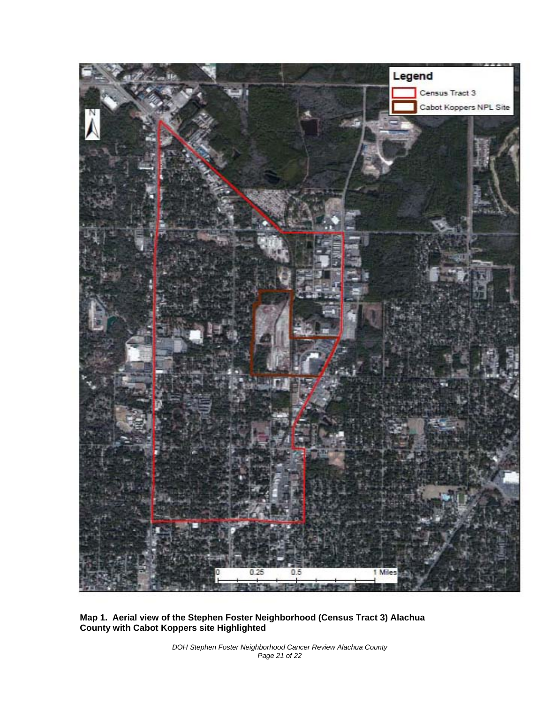

**Map 1. Aerial view of the Stephen Foster Neighborhood (Census Tract 3) Alachua County with Cabot Koppers site Highlighted** 

> *DOH Stephen Foster Neighborhood Cancer Review Alachua County Page 21 of 22*